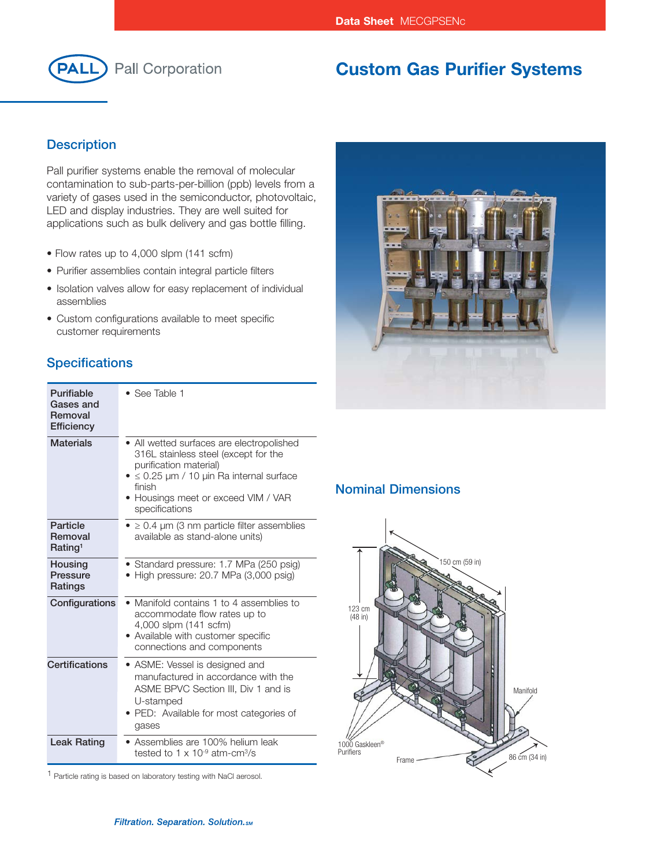

# **Custom Gas Purifier Systems**

### **Description**

Pall purifier systems enable the removal of molecular contamination to sub-parts-per-billion (ppb) levels from a variety of gases used in the semiconductor, photovoltaic, LED and display industries. They are well suited for applications such as bulk delivery and gas bottle filling.

- Flow rates up to 4,000 slpm (141 scfm)
- Purifier assemblies contain integral particle filters
- Isolation valves allow for easy replacement of individual assemblies
- Custom configurations available to meet specific customer requirements

## **Specifications**

| Purifiable<br>Gases and<br>Removal<br><b>Efficiency</b> | • See Table 1                                                                                                                                                                                                                         |
|---------------------------------------------------------|---------------------------------------------------------------------------------------------------------------------------------------------------------------------------------------------------------------------------------------|
| <b>Materials</b>                                        | • All wetted surfaces are electropolished<br>316L stainless steel (except for the<br>purification material)<br>$\bullet \leq 0.25$ µm / 10 µin Ra internal surface<br>finish<br>• Housings meet or exceed VIM / VAR<br>specifications |
| Particle<br>Removal<br>Rating <sup>1</sup>              | $\bullet$ $\geq$ 0.4 µm (3 nm particle filter assemblies<br>available as stand-alone units)                                                                                                                                           |
| Housing<br><b>Pressure</b><br>Ratings                   | • Standard pressure: 1.7 MPa (250 psig)<br>$\bullet$ High pressure: 20.7 MPa (3,000 psig)                                                                                                                                             |
| Configurations                                          | • Manifold contains 1 to 4 assemblies to<br>accommodate flow rates up to<br>4,000 slpm (141 scfm)<br>• Available with customer specific<br>connections and components                                                                 |
| <b>Certifications</b>                                   | • ASME: Vessel is designed and<br>manufactured in accordance with the<br>ASME BPVC Section III, Div 1 and is<br>U-stamped<br>• PED: Available for most categories of<br>gases                                                         |
| <b>Leak Rating</b>                                      | • Assemblies are 100% helium leak<br>tested to $1 \times 10^{-9}$ atm-cm <sup>3</sup> /s                                                                                                                                              |

1 Particle rating is based on laboratory testing with NaCl aerosol.



#### **Nominal Dimensions**